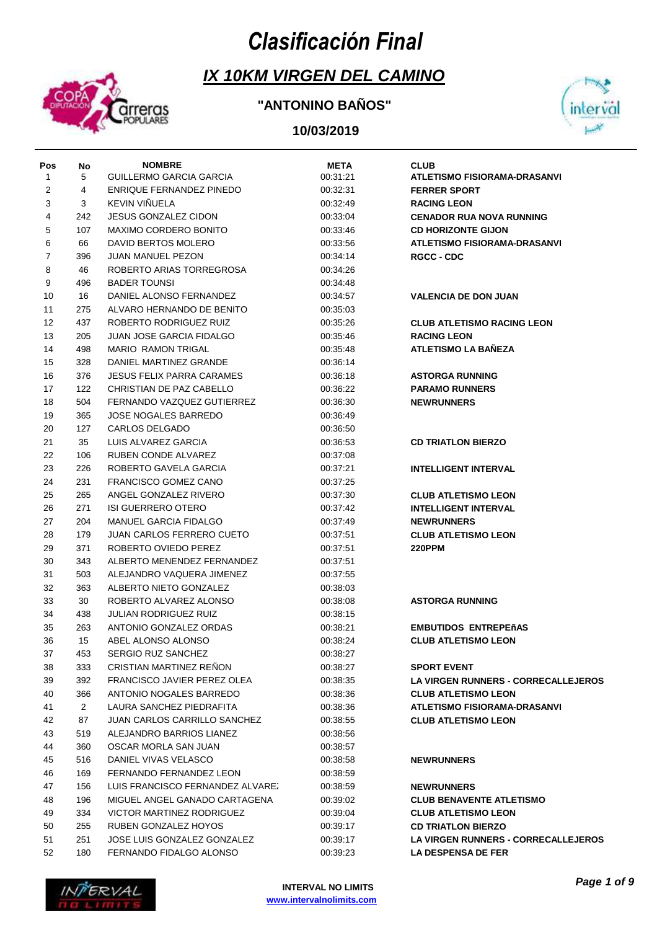# *Clasificación Final*



## **IX 10KM VIRGEN DEL CAMINO**

### **"ANTONINO BAÑOS"**



| Pos          | No           | <b>NOMBRE</b>                       | <b>META</b> | <b>CLUB</b>                                |
|--------------|--------------|-------------------------------------|-------------|--------------------------------------------|
| $\mathbf{1}$ | 5            | GUILLERMO GARCIA GARCIA             | 00:31:21    | <b>ATLETISMO FISIORAMA-DRASANVI</b>        |
| 2            | 4            | ENRIQUE FERNANDEZ PINEDO            | 00:32:31    | <b>FERRER SPORT</b>                        |
| 3            | 3            | KEVIN VIÑUELA                       | 00:32:49    | <b>RACING LEON</b>                         |
| 4            | 242          | <b>JESUS GONZALEZ CIDON</b>         | 00:33:04    | <b>CENADOR RUA NOVA RUNNING</b>            |
| 5            | 107          | MAXIMO CORDERO BONITO               | 00:33:46    | <b>CD HORIZONTE GIJON</b>                  |
| 6            | 66           | DAVID BERTOS MOLERO                 | 00:33:56    | <b>ATLETISMO FISIORAMA-DRASANVI</b>        |
| 7            | 396          | <b>JUAN MANUEL PEZON</b>            | 00:34:14    | <b>RGCC - CDC</b>                          |
| 8            | 46           | ROBERTO ARIAS TORREGROSA            | 00:34:26    |                                            |
| 9            | 496          | <b>BADER TOUNSI</b>                 | 00:34:48    |                                            |
| 10           | 16           | DANIEL ALONSO FERNANDEZ             | 00:34:57    | <b>VALENCIA DE DON JUAN</b>                |
| 11           | 275          | ALVARO HERNANDO DE BENITO           | 00:35:03    |                                            |
| 12           | 437          | ROBERTO RODRIGUEZ RUIZ              | 00:35:26    | <b>CLUB ATLETISMO RACING LEON</b>          |
| 13           | 205          | <b>JUAN JOSE GARCIA FIDALGO</b>     | 00:35:46    | <b>RACING LEON</b>                         |
| 14           | 498          | <b>MARIO RAMON TRIGAL</b>           | 00:35:48    | <b>ATLETISMO LA BAÑEZA</b>                 |
| 15           | 328          | DANIEL MARTINEZ GRANDE              | 00:36:14    |                                            |
| 16           | 376          | JESUS FELIX PARRA CARAMES           | 00:36:18    | <b>ASTORGA RUNNING</b>                     |
| 17           | 122          | CHRISTIAN DE PAZ CABELLO            | 00:36:22    | <b>PARAMO RUNNERS</b>                      |
| 18           | 504          | FERNANDO VAZQUEZ GUTIERREZ          | 00:36:30    | <b>NEWRUNNERS</b>                          |
| 19           | 365          | <b>JOSE NOGALES BARREDO</b>         | 00:36:49    |                                            |
| 20           | 127          | CARLOS DELGADO                      | 00:36:50    |                                            |
| 21           | 35           | LUIS ALVAREZ GARCIA                 | 00:36:53    | <b>CD TRIATLON BIERZO</b>                  |
| 22           | 106          | RUBEN CONDE ALVAREZ                 | 00:37:08    |                                            |
| 23           | 226          | ROBERTO GAVELA GARCIA               | 00:37:21    | <b>INTELLIGENT INTERVAL</b>                |
| 24           | 231          | FRANCISCO GOMEZ CANO                | 00:37:25    |                                            |
| 25           | 265          | ANGEL GONZALEZ RIVERO               | 00:37:30    | <b>CLUB ATLETISMO LEON</b>                 |
| 26           | 271          | <b>ISI GUERRERO OTERO</b>           | 00:37:42    | <b>INTELLIGENT INTERVAL</b>                |
| 27           | 204          | MANUEL GARCIA FIDALGO               | 00:37:49    | <b>NEWRUNNERS</b>                          |
| 28           | 179          | <b>JUAN CARLOS FERRERO CUETO</b>    | 00:37:51    | <b>CLUB ATLETISMO LEON</b>                 |
| 29           | 371          | ROBERTO OVIEDO PEREZ                | 00:37:51    | <b>220PPM</b>                              |
| 30           | 343          | ALBERTO MENENDEZ FERNANDEZ          | 00:37:51    |                                            |
| 31           | 503          | ALEJANDRO VAQUERA JIMENEZ           | 00:37:55    |                                            |
| 32           | 363          | ALBERTO NIETO GONZALEZ              | 00:38:03    |                                            |
| 33           | 30           | ROBERTO ALVAREZ ALONSO              | 00:38:08    | <b>ASTORGA RUNNING</b>                     |
| 34           | 438          | JULIAN RODRIGUEZ RUIZ               | 00:38:15    |                                            |
| 35           | 263          | ANTONIO GONZALEZ ORDAS              | 00:38:21    | <b>EMBUTIDOS ENTREPEñAS</b>                |
| 36           | 15           | ABEL ALONSO ALONSO                  | 00:38:24    | <b>CLUB ATLETISMO LEON</b>                 |
| 37           | 453          | <b>SERGIO RUZ SANCHEZ</b>           | 00:38:27    |                                            |
| 38           | 333          | <b>CRISTIAN MARTINEZ RENON</b>      | 00:38:27    | <b>SPORT EVENT</b>                         |
| 39           | 392          | FRANCISCO JAVIER PEREZ OLEA         | 00:38:35    | <b>LA VIRGEN RUNNERS - CORRECALLEJEROS</b> |
| 40           | 366          | ANTONIO NOGALES BARREDO             | 00:38:36    | <b>CLUB ATLETISMO LEON</b>                 |
| 41           | $\mathbf{2}$ | LAURA SANCHEZ PIEDRAFITA            | 00:38:36    | <b>ATLETISMO FISIORAMA-DRASANVI</b>        |
| 42           | 87           | <b>JUAN CARLOS CARRILLO SANCHEZ</b> | 00:38:55    | <b>CLUB ATLETISMO LEON</b>                 |
| 43           | 519          | ALEJANDRO BARRIOS LIANEZ            | 00:38:56    |                                            |
| 44           | 360          | OSCAR MORLA SAN JUAN                | 00:38:57    |                                            |
| 45           | 516          | DANIEL VIVAS VELASCO                | 00:38:58    | <b>NEWRUNNERS</b>                          |
| 46           | 169          | FERNANDO FERNANDEZ LEON             | 00:38:59    |                                            |
| 47           | 156          | LUIS FRANCISCO FERNANDEZ ALVAREZ    | 00:38:59    | <b>NEWRUNNERS</b>                          |
| 48           | 196          | MIGUEL ANGEL GANADO CARTAGENA       | 00:39:02    | <b>CLUB BENAVENTE ATLETISMO</b>            |
| 49           | 334          | VICTOR MARTINEZ RODRIGUEZ           | 00:39:04    | <b>CLUB ATLETISMO LEON</b>                 |
| 50           | 255          | RUBEN GONZALEZ HOYOS                | 00:39:17    | <b>CD TRIATLON BIERZO</b>                  |
| 51           | 251          | JOSE LUIS GONZALEZ GONZALEZ         | 00:39:17    | <b>LA VIRGEN RUNNERS - CORRECALLEJEROS</b> |
| 52           | 180          | FERNANDO FIDALGO ALONSO             | 00:39:23    | LA DESPENSA DE FER                         |

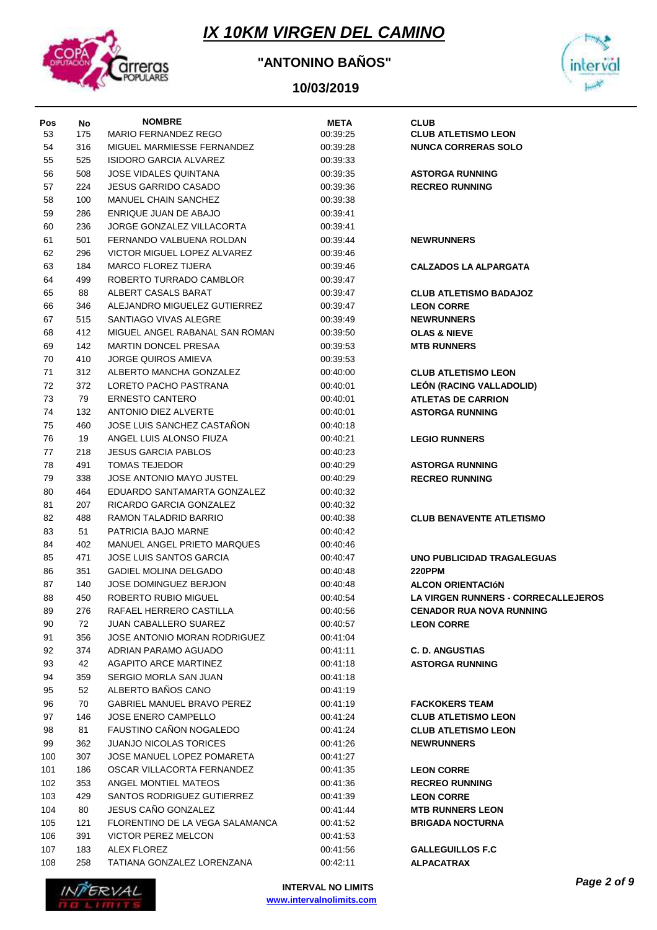

### **"ANTONINO BAÑOS"**



| Pos<br>53 | No<br>175 | <b>NOMBRE</b><br>MARIO FERNANDEZ REGO | <b>META</b><br>00:39:25 | <b>CLUB</b><br><b>CLUB ATLETISMO LEON</b> |
|-----------|-----------|---------------------------------------|-------------------------|-------------------------------------------|
| 54        | 316       | MIGUEL MARMIESSE FERNANDEZ            | 00:39:28                | <b>NUNCA CORRERAS SOLO</b>                |
| 55        | 525       | ISIDORO GARCIA ALVAREZ                | 00:39:33                |                                           |
| 56        | 508       | <b>JOSE VIDALES QUINTANA</b>          | 00:39:35                | <b>ASTORGA RUNNING</b>                    |
| 57        | 224       | <b>JESUS GARRIDO CASADO</b>           | 00:39:36                | <b>RECREO RUNNING</b>                     |
| 58        | 100       | MANUEL CHAIN SANCHEZ                  | 00:39:38                |                                           |
| 59        | 286       | ENRIQUE JUAN DE ABAJO                 | 00:39:41                |                                           |
| 60        | 236       | JORGE GONZALEZ VILLACORTA             | 00:39:41                |                                           |
|           |           | FERNANDO VALBUENA ROLDAN              |                         |                                           |
| 61        | 501       |                                       | 00:39:44                | <b>NEWRUNNERS</b>                         |
| 62        | 296       | VICTOR MIGUEL LOPEZ ALVAREZ           | 00:39:46                |                                           |
| 63        | 184       | <b>MARCO FLOREZ TIJERA</b>            | 00:39:46                | <b>CALZADOS LA ALPARGATA</b>              |
| 64        | 499       | ROBERTO TURRADO CAMBLOR               | 00:39:47                |                                           |
| 65        | 88        | ALBERT CASALS BARAT                   | 00:39:47                | <b>CLUB ATLETISMO BADAJOZ</b>             |
| 66        | 346       | ALEJANDRO MIGUELEZ GUTIERREZ          | 00:39:47                | <b>LEON CORRE</b>                         |
| 67        | 515       | SANTIAGO VIVAS ALEGRE                 | 00:39:49                | <b>NEWRUNNERS</b>                         |
| 68        | 412       | MIGUEL ANGEL RABANAL SAN ROMAN        | 00:39:50                | <b>OLAS &amp; NIEVE</b>                   |
| 69        | 142       | <b>MARTIN DONCEL PRESAA</b>           | 00:39:53                | <b>MTB RUNNERS</b>                        |
| 70        | 410       | <b>JORGE QUIROS AMIEVA</b>            | 00:39:53                |                                           |
| 71        | 312       | ALBERTO MANCHA GONZALEZ               | 00:40:00                | <b>CLUB ATLETISMO LEON</b>                |
| 72        | 372       | LORETO PACHO PASTRANA                 | 00:40:01                | LEÓN (RACING VALLADOLID)                  |
| 73        | 79        | <b>ERNESTO CANTERO</b>                | 00:40:01                | <b>ATLETAS DE CARRION</b>                 |
| 74        | 132       | ANTONIO DIEZ ALVERTE                  | 00:40:01                | <b>ASTORGA RUNNING</b>                    |
| 75        | 460       | JOSE LUIS SANCHEZ CASTANON            | 00:40:18                |                                           |
| 76        | 19        | ANGEL LUIS ALONSO FIUZA               | 00:40:21                | <b>LEGIO RUNNERS</b>                      |
| 77        | 218       | <b>JESUS GARCIA PABLOS</b>            | 00:40:23                |                                           |
| 78        | 491       | <b>TOMAS TEJEDOR</b>                  | 00:40:29                | <b>ASTORGA RUNNING</b>                    |
| 79        | 338       | <b>JOSE ANTONIO MAYO JUSTEL</b>       | 00:40:29                | <b>RECREO RUNNING</b>                     |
| 80        | 464       | EDUARDO SANTAMARTA GONZALEZ           | 00:40:32                |                                           |
| 81        | 207       | RICARDO GARCIA GONZALEZ               | 00:40:32                |                                           |
| 82        | 488       | RAMON TALADRID BARRIO                 | 00:40:38                | <b>CLUB BENAVENTE ATLETISMO</b>           |
| 83        | 51        | PATRICIA BAJO MARNE                   | 00:40:42                |                                           |
| 84        | 402       | MANUEL ANGEL PRIETO MARQUES           | 00:40:46                |                                           |
| 85        | 471       | <b>JOSE LUIS SANTOS GARCIA</b>        | 00:40:47                | UNO PUBLICIDAD TRAGALEGUAS                |
| 86        | 351       | <b>GADIEL MOLINA DELGADO</b>          | 00:40:48                | <b>220PPM</b>                             |
| 87        | 140       | <b>JOSE DOMINGUEZ BERJON</b>          | 00:40:48                | <b>ALCON ORIENTACIÓN</b>                  |
| 88        | 450       | ROBERTO RUBIO MIGUEL                  | 00:40:54                | LA VIRGEN RUNNERS - CORRECALLEJEROS       |
| 89        | 276       | RAFAEL HERRERO CASTILLA               | 00:40:56                | <b>CENADOR RUA NOVA RUNNING</b>           |
| 90        | 72        | <b>JUAN CABALLERO SUAREZ</b>          | 00:40:57                | <b>LEON CORRE</b>                         |
| 91        | 356       | JOSE ANTONIO MORAN RODRIGUEZ          | 00:41:04                |                                           |
| 92        | 374       | ADRIAN PARAMO AGUADO                  | 00:41:11                | <b>C. D. ANGUSTIAS</b>                    |
| 93        | 42        | <b>AGAPITO ARCE MARTINEZ</b>          | 00:41:18                | <b>ASTORGA RUNNING</b>                    |
| 94        | 359       | SERGIO MORLA SAN JUAN                 | 00:41:18                |                                           |
| 95        | 52        | ALBERTO BAÑOS CANO                    | 00:41:19                |                                           |
| 96        | 70        | <b>GABRIEL MANUEL BRAVO PEREZ</b>     | 00:41:19                | <b>FACKOKERS TEAM</b>                     |
| 97        | 146       | JOSE ENERO CAMPELLO                   | 00:41:24                | <b>CLUB ATLETISMO LEON</b>                |
| 98        | 81        | FAUSTINO CAÑON NOGALEDO               | 00:41:24                | <b>CLUB ATLETISMO LEON</b>                |
| 99        | 362       | <b>JUANJO NICOLAS TORICES</b>         | 00:41:26                | <b>NEWRUNNERS</b>                         |
| 100       | 307       | JOSE MANUEL LOPEZ POMARETA            | 00:41:27                |                                           |
| 101       | 186       | OSCAR VILLACORTA FERNANDEZ            | 00:41:35                | <b>LEON CORRE</b>                         |
| 102       | 353       | ANGEL MONTIEL MATEOS                  | 00:41:36                | <b>RECREO RUNNING</b>                     |
| 103       | 429       | SANTOS RODRIGUEZ GUTIERREZ            | 00:41:39                | <b>LEON CORRE</b>                         |
| 104       | 80        | JESUS CAÑO GONZALEZ                   | 00:41:44                | <b>MTB RUNNERS LEON</b>                   |
| 105       | 121       | FLORENTINO DE LA VEGA SALAMANCA       | 00:41:52                | <b>BRIGADA NOCTURNA</b>                   |
| 106       | 391       | VICTOR PEREZ MELCON                   | 00:41:53                |                                           |
| 107       | 183       | ALEX FLOREZ                           | 00:41:56                | <b>GALLEGUILLOS F.C</b>                   |
| 108       | 258       | TATIANA GONZALEZ LORENZANA            | 00:42:11                | <b>ALPACATRAX</b>                         |

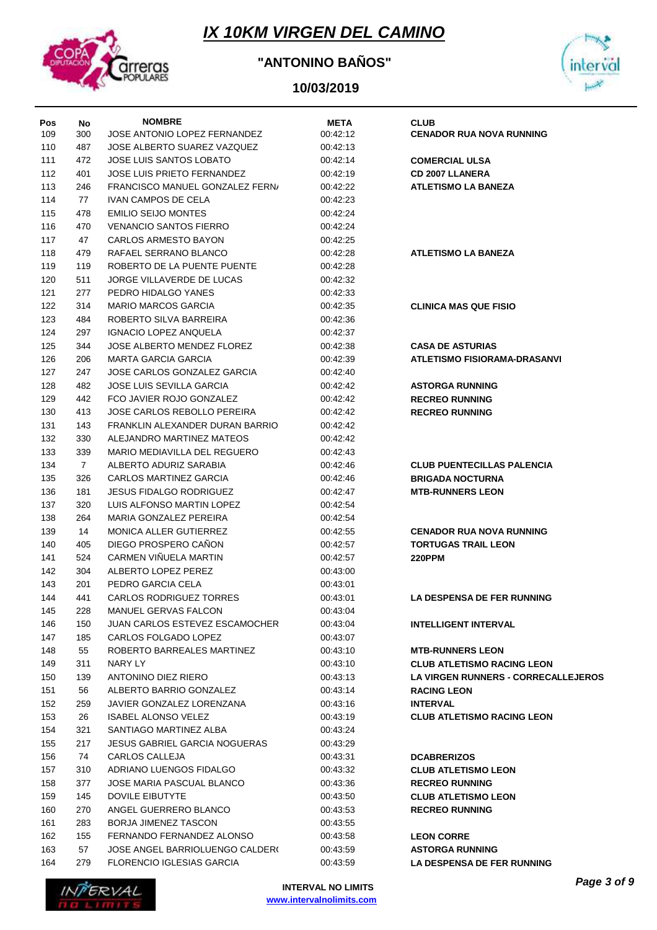

### **"ANTONINO BAÑOS"**



| Pos | No  | <b>NOMBRE</b>                          | <b>META</b> | <b>CLUB</b>                                |
|-----|-----|----------------------------------------|-------------|--------------------------------------------|
| 109 | 300 | JOSE ANTONIO LOPEZ FERNANDEZ           | 00:42:12    | <b>CENADOR RUA NOVA RUNNING</b>            |
| 110 | 487 | JOSE ALBERTO SUAREZ VAZQUEZ            | 00:42:13    |                                            |
| 111 | 472 | JOSE LUIS SANTOS LOBATO                | 00:42:14    | <b>COMERCIAL ULSA</b>                      |
| 112 | 401 | JOSE LUIS PRIETO FERNANDEZ             | 00:42:19    | <b>CD 2007 LLANERA</b>                     |
| 113 | 246 | <b>FRANCISCO MANUEL GONZALEZ FERN/</b> | 00:42:22    | <b>ATLETISMO LA BANEZA</b>                 |
| 114 | 77  | <b>IVAN CAMPOS DE CELA</b>             | 00:42:23    |                                            |
| 115 | 478 | <b>EMILIO SEIJO MONTES</b>             | 00:42:24    |                                            |
| 116 | 470 | <b>VENANCIO SANTOS FIERRO</b>          | 00:42:24    |                                            |
| 117 | 47  | CARLOS ARMESTO BAYON                   | 00:42:25    |                                            |
| 118 | 479 | RAFAEL SERRANO BLANCO                  | 00:42:28    | <b>ATLETISMO LA BANEZA</b>                 |
| 119 | 119 | ROBERTO DE LA PUENTE PUENTE            | 00:42:28    |                                            |
| 120 | 511 | JORGE VILLAVERDE DE LUCAS              | 00:42:32    |                                            |
| 121 | 277 | PEDRO HIDALGO YANES                    | 00.42.33    |                                            |
| 122 | 314 | <b>MARIO MARCOS GARCIA</b>             | 00:42:35    | <b>CLINICA MAS QUE FISIO</b>               |
| 123 | 484 | ROBERTO SILVA BARREIRA                 | 00:42:36    |                                            |
| 124 | 297 | <b>IGNACIO LOPEZ ANQUELA</b>           | 00:42:37    |                                            |
| 125 | 344 | JOSE ALBERTO MENDEZ FLOREZ             | 00:42:38    | <b>CASA DE ASTURIAS</b>                    |
| 126 | 206 | <b>MARTA GARCIA GARCIA</b>             | 00:42:39    | <b>ATLETISMO FISIORAMA-DRASANVI</b>        |
| 127 | 247 | JOSE CARLOS GONZALEZ GARCIA            | 00.42.40    |                                            |
| 128 | 482 | <b>JOSE LUIS SEVILLA GARCIA</b>        | 00:42:42    | <b>ASTORGA RUNNING</b>                     |
| 129 | 442 | FCO JAVIER ROJO GONZALEZ               | 00:42:42    | <b>RECREO RUNNING</b>                      |
| 130 | 413 | <b>JOSE CARLOS REBOLLO PEREIRA</b>     | 00:42:42    | <b>RECREO RUNNING</b>                      |
| 131 | 143 | FRANKLIN ALEXANDER DURAN BARRIO        | 00:42:42    |                                            |
| 132 | 330 | ALEJANDRO MARTINEZ MATEOS              | 00:42:42    |                                            |
| 133 | 339 | MARIO MEDIAVILLA DEL REGUERO           | 00.42.43    |                                            |
| 134 | 7   | ALBERTO ADURIZ SARABIA                 | 00.42.46    | <b>CLUB PUENTECILLAS PALENCIA</b>          |
| 135 | 326 | CARLOS MARTINEZ GARCIA                 | 00.42.46    | <b>BRIGADA NOCTURNA</b>                    |
| 136 | 181 | <b>JESUS FIDALGO RODRIGUEZ</b>         | 00.42.47    | <b>MTB-RUNNERS LEON</b>                    |
| 137 | 320 | LUIS ALFONSO MARTIN LOPEZ              | 00:42:54    |                                            |
| 138 | 264 | MARIA GONZALEZ PEREIRA                 | 00:42:54    |                                            |
| 139 | 14  | <b>MONICA ALLER GUTIERREZ</b>          | 00:42:55    | <b>CENADOR RUA NOVA RUNNING</b>            |
| 140 | 405 | DIEGO PROSPERO CANON                   | 00.42:57    | <b>TORTUGAS TRAIL LEON</b>                 |
| 141 | 524 | CARMEN VIÑUELA MARTIN                  | 00:42:57    | <b>220PPM</b>                              |
| 142 | 304 | ALBERTO LOPEZ PEREZ                    | 00:43:00    |                                            |
| 143 | 201 | PEDRO GARCIA CELA                      | 00:43:01    |                                            |
| 144 | 441 | <b>CARLOS RODRIGUEZ TORRES</b>         | 00:43:01    | <b>LA DESPENSA DE FER RUNNING</b>          |
| 145 | 228 | MANUEL GERVAS FALCON                   | 00:43:04    |                                            |
| 146 | 150 | JUAN CARLOS ESTEVEZ ESCAMOCHER         | 00:43:04    | <b>INTELLIGENT INTERVAL</b>                |
| 147 | 185 | CARLOS FOLGADO LOPEZ                   | 00:43:07    |                                            |
| 148 | 55  | ROBERTO BARREALES MARTINEZ             | 00:43:10    | <b>MTB-RUNNERS LEON</b>                    |
| 149 | 311 | NARY LY                                | 00:43:10    | <b>CLUB ATLETISMO RACING LEON</b>          |
| 150 | 139 | ANTONINO DIEZ RIERO                    | 00:43:13    | <b>LA VIRGEN RUNNERS - CORRECALLEJEROS</b> |
| 151 | 56  | ALBERTO BARRIO GONZALEZ                | 00:43:14    | <b>RACING LEON</b>                         |
| 152 | 259 | JAVIER GONZALEZ LORENZANA              | 00:43:16    | <b>INTERVAL</b>                            |
| 153 | 26  | <b>ISABEL ALONSO VELEZ</b>             | 00:43:19    | <b>CLUB ATLETISMO RACING LEON</b>          |
| 154 | 321 | SANTIAGO MARTINEZ ALBA                 | 00:43:24    |                                            |
| 155 | 217 | <b>JESUS GABRIEL GARCIA NOGUERAS</b>   | 00:43:29    |                                            |
| 156 | 74  | CARLOS CALLEJA                         | 00:43:31    | <b>DCABRERIZOS</b>                         |
| 157 | 310 | ADRIANO LUENGOS FIDALGO                | 00:43:32    | <b>CLUB ATLETISMO LEON</b>                 |
| 158 | 377 | JOSE MARIA PASCUAL BLANCO              | 00:43:36    | <b>RECREO RUNNING</b>                      |
| 159 | 145 | DOVILE EIBUTYTE                        | 00:43:50    | <b>CLUB ATLETISMO LEON</b>                 |
| 160 | 270 | ANGEL GUERRERO BLANCO                  | 00:43:53    | <b>RECREO RUNNING</b>                      |
| 161 | 283 | BORJA JIMENEZ TASCON                   | 00:43:55    |                                            |
| 162 | 155 | FERNANDO FERNANDEZ ALONSO              | 00:43:58    | <b>LEON CORRE</b>                          |
| 163 | 57  | JOSE ANGEL BARRIOLUENGO CALDER(        | 00:43:59    | <b>ASTORGA RUNNING</b>                     |
| 164 | 279 | <b>FLORENCIO IGLESIAS GARCIA</b>       | 00:43:59    | <b>LA DESPENSA DE FER RUNNING</b>          |
|     |     |                                        |             |                                            |

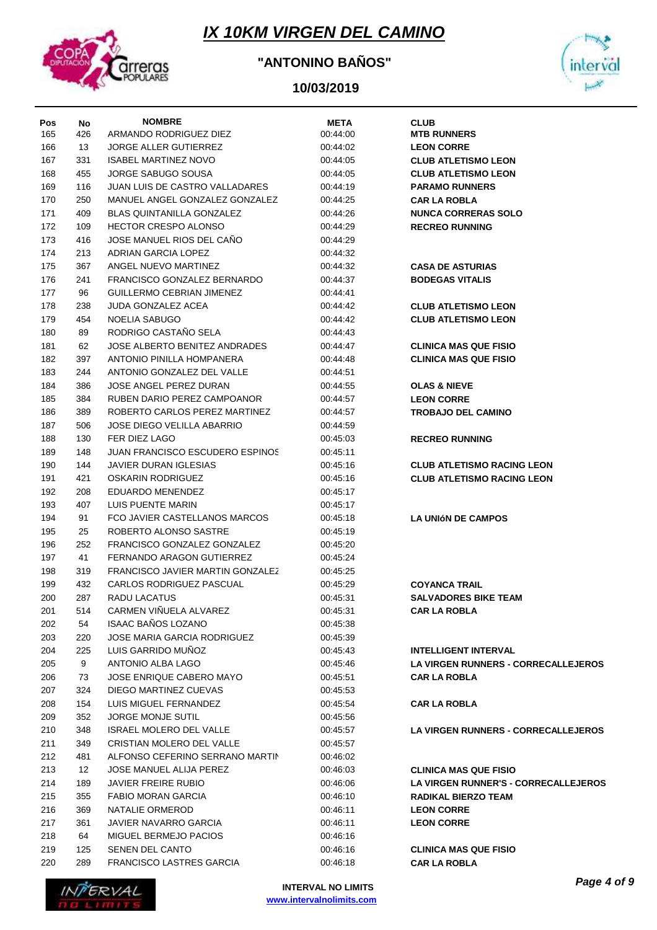

### **"ANTONINO BAÑOS"**



| Pos | No  | <b>NOMBRE</b>                          | <b>META</b> | <b>CLUB</b>                                 |
|-----|-----|----------------------------------------|-------------|---------------------------------------------|
| 165 | 426 | ARMANDO RODRIGUEZ DIEZ                 | 00:44:00    | <b>MTB RUNNERS</b>                          |
| 166 | 13  | <b>JORGE ALLER GUTIERREZ</b>           | 00:44:02    | <b>LEON CORRE</b>                           |
| 167 | 331 | <b>ISABEL MARTINEZ NOVO</b>            | 00:44:05    | <b>CLUB ATLETISMO LEON</b>                  |
| 168 | 455 | JORGE SABUGO SOUSA                     | 00:44:05    | <b>CLUB ATLETISMO LEON</b>                  |
| 169 | 116 | JUAN LUIS DE CASTRO VALLADARES         | 00:44:19    | <b>PARAMO RUNNERS</b>                       |
| 170 | 250 | MANUEL ANGEL GONZALEZ GONZALEZ         | 00:44:25    | <b>CAR LA ROBLA</b>                         |
| 171 | 409 | BLAS QUINTANILLA GONZALEZ              | 00:44:26    | <b>NUNCA CORRERAS SOLO</b>                  |
| 172 | 109 | <b>HECTOR CRESPO ALONSO</b>            | 00:44:29    | <b>RECREO RUNNING</b>                       |
| 173 | 416 | JOSE MANUEL RIOS DEL CANO              | 00:44:29    |                                             |
| 174 | 213 | ADRIAN GARCIA LOPEZ                    | 00:44:32    |                                             |
| 175 | 367 | ANGEL NUEVO MARTINEZ                   | 00:44:32    | <b>CASA DE ASTURIAS</b>                     |
| 176 | 241 | FRANCISCO GONZALEZ BERNARDO            | 00:44:37    | <b>BODEGAS VITALIS</b>                      |
| 177 | 96  | GUILLERMO CEBRIAN JIMENEZ              | 00:44:41    |                                             |
| 178 | 238 | <b>JUDA GONZALEZ ACEA</b>              | 00:44:42    | <b>CLUB ATLETISMO LEON</b>                  |
| 179 | 454 | NOELIA SABUGO                          | 00:44:42    | <b>CLUB ATLETISMO LEON</b>                  |
| 180 | 89  | RODRIGO CASTAÑO SELA                   | 00:44:43    |                                             |
| 181 | 62  | JOSE ALBERTO BENITEZ ANDRADES          | 00:44:47    | <b>CLINICA MAS QUE FISIO</b>                |
| 182 | 397 | ANTONIO PINILLA HOMPANERA              | 00:44:48    | <b>CLINICA MAS QUE FISIO</b>                |
| 183 | 244 | ANTONIO GONZALEZ DEL VALLE             | 00:44:51    |                                             |
| 184 | 386 | JOSE ANGEL PEREZ DURAN                 | 00:44:55    | <b>OLAS &amp; NIEVE</b>                     |
| 185 | 384 | RUBEN DARIO PEREZ CAMPOANOR            | 00:44:57    | <b>LEON CORRE</b>                           |
| 186 | 389 | ROBERTO CARLOS PEREZ MARTINEZ          | 00:44:57    | <b>TROBAJO DEL CAMINO</b>                   |
| 187 | 506 | <b>JOSE DIEGO VELILLA ABARRIO</b>      | 00:44:59    |                                             |
| 188 | 130 | FER DIEZ LAGO                          | 00:45:03    | <b>RECREO RUNNING</b>                       |
| 189 | 148 | <b>JUAN FRANCISCO ESCUDERO ESPINOS</b> | 00:45:11    |                                             |
| 190 | 144 | JAVIER DURAN IGLESIAS                  | 00:45:16    | <b>CLUB ATLETISMO RACING LEON</b>           |
| 191 | 421 | OSKARIN RODRIGUEZ                      | 00:45:16    | <b>CLUB ATLETISMO RACING LEON</b>           |
| 192 | 208 | EDUARDO MENENDEZ                       | 00:45:17    |                                             |
| 193 | 407 | LUIS PUENTE MARIN                      | 00:45:17    |                                             |
| 194 | 91  | FCO JAVIER CASTELLANOS MARCOS          | 00:45:18    | <b>LA UNIÓN DE CAMPOS</b>                   |
| 195 | 25  | ROBERTO ALONSO SASTRE                  | 00:45:19    |                                             |
| 196 | 252 | FRANCISCO GONZALEZ GONZALEZ            | 00:45:20    |                                             |
| 197 | 41  | FERNANDO ARAGON GUTIERREZ              | 00:45:24    |                                             |
| 198 | 319 | FRANCISCO JAVIER MARTIN GONZALEZ       | 00:45:25    |                                             |
| 199 | 432 | CARLOS RODRIGUEZ PASCUAL               | 00:45:29    | <b>COYANCA TRAIL</b>                        |
| 200 | 287 | <b>RADU LACATUS</b>                    | 00:45:31    | <b>SALVADORES BIKE TEAM</b>                 |
| 201 | 514 | CARMEN VIÑUELA ALVAREZ                 | 00:45:31    | <b>CAR LA ROBLA</b>                         |
| 202 | 54  | <b>ISAAC BAÑOS LOZANO</b>              | 00:45:38    |                                             |
| 203 | 220 | <b>JOSE MARIA GARCIA RODRIGUEZ</b>     | 00:45:39    |                                             |
| 204 | 225 | LUIS GARRIDO MUÑOZ                     | 00:45:43    | <b>INTELLIGENT INTERVAL</b>                 |
| 205 | 9   | ANTONIO ALBA LAGO                      | 00:45:46    | <b>LA VIRGEN RUNNERS - CORRECALLEJEROS</b>  |
| 206 | 73  | JOSE ENRIQUE CABERO MAYO               | 00:45:51    | <b>CAR LA ROBLA</b>                         |
| 207 | 324 | DIEGO MARTINEZ CUEVAS                  | 00:45:53    |                                             |
| 208 | 154 | LUIS MIGUEL FERNANDEZ                  | 00:45:54    | <b>CAR LA ROBLA</b>                         |
| 209 | 352 | <b>JORGE MONJE SUTIL</b>               | 00:45:56    |                                             |
| 210 | 348 | <b>ISRAEL MOLERO DEL VALLE</b>         | 00:45:57    | <b>LA VIRGEN RUNNERS - CORRECALLEJEROS</b>  |
| 211 | 349 | <b>CRISTIAN MOLERO DEL VALLE</b>       | 00:45:57    |                                             |
| 212 | 481 | ALFONSO CEFERINO SERRANO MARTIN        | 00:46:02    |                                             |
| 213 | 12  | <b>JOSE MANUEL ALIJA PEREZ</b>         | 00:46:03    | <b>CLINICA MAS QUE FISIO</b>                |
| 214 | 189 | <b>JAVIER FREIRE RUBIO</b>             | 00:46:06    | <b>LA VIRGEN RUNNER'S - CORRECALLEJEROS</b> |
| 215 | 355 | FABIO MORAN GARCIA                     | 00:46:10    | <b>RADIKAL BIERZO TEAM</b>                  |
| 216 | 369 | NATALIE ORMEROD                        | 00:46:11    | <b>LEON CORRE</b>                           |
| 217 | 361 | JAVIER NAVARRO GARCIA                  | 00:46:11    | <b>LEON CORRE</b>                           |
| 218 | 64  | MIGUEL BERMEJO PACIOS                  | 00:46:16    |                                             |
| 219 | 125 | <b>SENEN DEL CANTO</b>                 | 00:46:16    | <b>CLINICA MAS QUE FISIO</b>                |
| 220 | 289 | <b>FRANCISCO LASTRES GARCIA</b>        | 00:46:18    | <b>CAR LA ROBLA</b>                         |
|     |     |                                        |             |                                             |

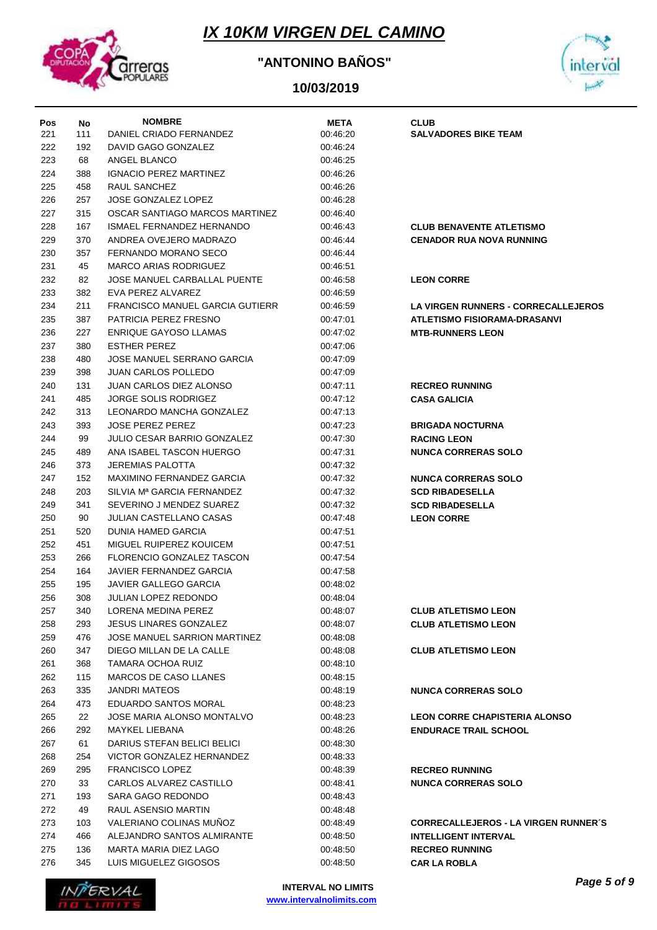

### **"ANTONINO BAÑOS"**



| Pos | No  | <b>NOMBRE</b>                          | <b>META</b> | <b>CLUB</b>                                 |
|-----|-----|----------------------------------------|-------------|---------------------------------------------|
| 221 | 111 | DANIEL CRIADO FERNANDEZ                | 00:46:20    | <b>SALVADORES BIKE TEAM</b>                 |
| 222 | 192 | DAVID GAGO GONZALEZ                    | 00:46:24    |                                             |
| 223 | 68  | ANGEL BLANCO                           | 00:46:25    |                                             |
| 224 | 388 | <b>IGNACIO PEREZ MARTINEZ</b>          | 00:46:26    |                                             |
| 225 | 458 | RAUL SANCHEZ                           | 00:46:26    |                                             |
| 226 | 257 | JOSE GONZALEZ LOPEZ                    | 00:46:28    |                                             |
| 227 | 315 | OSCAR SANTIAGO MARCOS MARTINEZ         | 00:46:40    |                                             |
| 228 | 167 | ISMAEL FERNANDEZ HERNANDO              | 00:46:43    | <b>CLUB BENAVENTE ATLETISMO</b>             |
| 229 | 370 | ANDREA OVEJERO MADRAZO                 | 00.46.44    | <b>CENADOR RUA NOVA RUNNING</b>             |
| 230 | 357 | FERNANDO MORANO SECO                   | 00:46:44    |                                             |
| 231 | 45  | MARCO ARIAS RODRIGUEZ                  | 00:46:51    |                                             |
| 232 | 82  | JOSE MANUEL CARBALLAL PUENTE           | 00:46:58    | <b>LEON CORRE</b>                           |
| 233 | 382 | EVA PEREZ ALVAREZ                      | 00:46:59    |                                             |
| 234 | 211 | <b>FRANCISCO MANUEL GARCIA GUTIERR</b> | 00:46:59    | <b>LA VIRGEN RUNNERS - CORRECALLEJEROS</b>  |
| 235 | 387 | PATRICIA PEREZ FRESNO                  | 00:47:01    | <b>ATLETISMO FISIORAMA-DRASANVI</b>         |
| 236 | 227 | <b>ENRIQUE GAYOSO LLAMAS</b>           | 00:47:02    | <b>MTB-RUNNERS LEON</b>                     |
| 237 | 380 | <b>ESTHER PEREZ</b>                    | 00:47:06    |                                             |
| 238 | 480 | JOSE MANUEL SERRANO GARCIA             | 00:47:09    |                                             |
| 239 | 398 | JUAN CARLOS POLLEDO                    | 00:47:09    |                                             |
| 240 | 131 | JUAN CARLOS DIEZ ALONSO                |             |                                             |
| 241 |     | JORGE SOLIS RODRIGEZ                   | 00:47:11    | <b>RECREO RUNNING</b>                       |
|     | 485 |                                        | 00:47:12    | <b>CASA GALICIA</b>                         |
| 242 | 313 | LEONARDO MANCHA GONZALEZ               | 00:47:13    |                                             |
| 243 | 393 | JOSE PEREZ PEREZ                       | 00:47:23    | <b>BRIGADA NOCTURNA</b>                     |
| 244 | 99  | JULIO CESAR BARRIO GONZALEZ            | 00:47:30    | <b>RACING LEON</b>                          |
| 245 | 489 | ANA ISABEL TASCON HUERGO               | 00:47:31    | <b>NUNCA CORRERAS SOLO</b>                  |
| 246 | 373 | JEREMIAS PALOTTA                       | 00:47:32    |                                             |
| 247 | 152 | MAXIMINO FERNANDEZ GARCIA              | 00:47:32    | <b>NUNCA CORRERAS SOLO</b>                  |
| 248 | 203 | SILVIA M <sup>a</sup> GARCIA FERNANDEZ | 00:47:32    | <b>SCD RIBADESELLA</b>                      |
| 249 | 341 | SEVERINO J MENDEZ SUAREZ               | 00:47:32    | <b>SCD RIBADESELLA</b>                      |
| 250 | 90  | JULIAN CASTELLANO CASAS                | 00:47:48    | <b>LEON CORRE</b>                           |
| 251 | 520 | <b>DUNIA HAMED GARCIA</b>              | 00:47:51    |                                             |
| 252 | 451 | MIGUEL RUIPEREZ KOUICEM                | 00:47:51    |                                             |
| 253 | 266 | FLORENCIO GONZALEZ TASCON              | 00:47:54    |                                             |
| 254 | 164 | JAVIER FERNANDEZ GARCIA                | 00:47:58    |                                             |
| 255 | 195 | JAVIER GALLEGO GARCIA                  | 00:48:02    |                                             |
| 256 | 308 | JULIAN LOPEZ REDONDO                   | 00:48:04    |                                             |
| 257 | 340 | LORENA MEDINA PEREZ                    | 00:48:07    | <b>CLUB ATLETISMO LEON</b>                  |
| 258 | 293 | <b>JESUS LINARES GONZALEZ</b>          | 00:48:07    | <b>CLUB ATLETISMO LEON</b>                  |
| 259 | 476 | <b>JOSE MANUEL SARRION MARTINEZ</b>    | 00:48:08    |                                             |
| 260 | 347 | DIEGO MILLAN DE LA CALLE               | 00:48:08    | <b>CLUB ATLETISMO LEON</b>                  |
| 261 | 368 | TAMARA OCHOA RUIZ                      | 00:48:10    |                                             |
| 262 | 115 | MARCOS DE CASO LLANES                  | 00:48:15    |                                             |
| 263 | 335 | JANDRI MATEOS                          | 00:48:19    | <b>NUNCA CORRERAS SOLO</b>                  |
| 264 | 473 | EDUARDO SANTOS MORAL                   | 00:48:23    |                                             |
| 265 | 22  | JOSE MARIA ALONSO MONTALVO             | 00:48:23    | <b>LEON CORRE CHAPISTERIA ALONSO</b>        |
| 266 | 292 | <b>MAYKEL LIEBANA</b>                  | 00:48:26    | <b>ENDURACE TRAIL SCHOOL</b>                |
| 267 | 61  | DARIUS STEFAN BELICI BELICI            | 00:48:30    |                                             |
| 268 | 254 | VICTOR GONZALEZ HERNANDEZ              | 00:48:33    |                                             |
| 269 | 295 | <b>FRANCISCO LOPEZ</b>                 | 00:48:39    | <b>RECREO RUNNING</b>                       |
| 270 | 33  | CARLOS ALVAREZ CASTILLO                | 00:48:41    | <b>NUNCA CORRERAS SOLO</b>                  |
| 271 | 193 | SARA GAGO REDONDO                      | 00:48:43    |                                             |
| 272 | 49  | RAUL ASENSIO MARTIN                    | 00:48:48    |                                             |
| 273 | 103 | VALERIANO COLINAS MUNOZ                | 00:48:49    | <b>CORRECALLEJEROS - LA VIRGEN RUNNER'S</b> |
| 274 | 466 | ALEJANDRO SANTOS ALMIRANTE             | 00:48:50    | <b>INTELLIGENT INTERVAL</b>                 |
| 275 | 136 | MARTA MARIA DIEZ LAGO                  | 00:48:50    | <b>RECREO RUNNING</b>                       |
| 276 | 345 | LUIS MIGUELEZ GIGOSOS                  | 00:48:50    | <b>CAR LA ROBLA</b>                         |

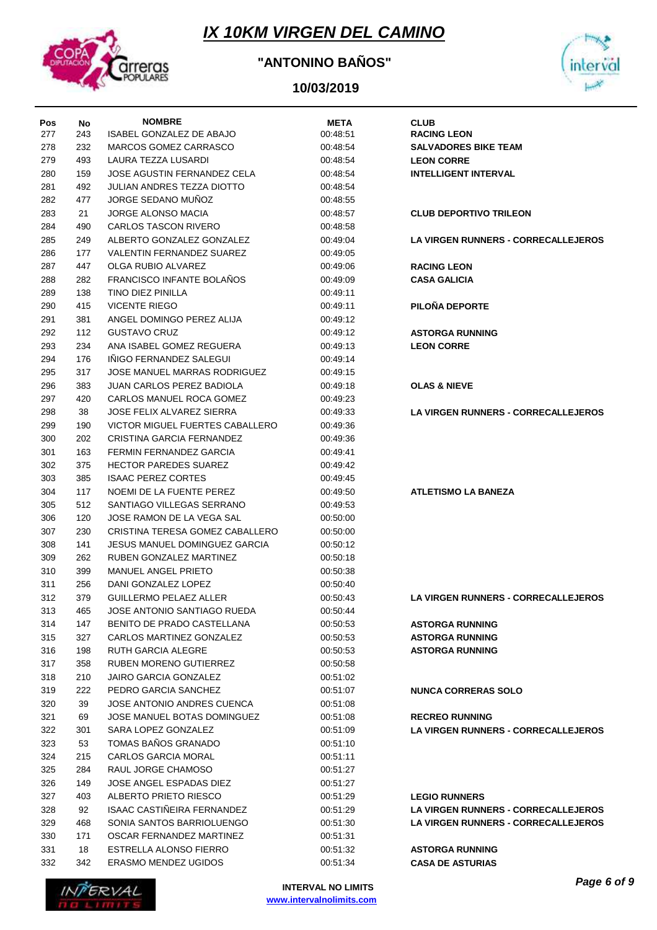

### **"ANTONINO BAÑOS"**



| Pos | No  | <b>NOMBRE</b>                        | <b>META</b> | <b>CLUB</b>                                |
|-----|-----|--------------------------------------|-------------|--------------------------------------------|
| 277 | 243 | ISABEL GONZALEZ DE ABAJO             | 00:48:51    | <b>RACING LEON</b>                         |
| 278 | 232 | MARCOS GOMEZ CARRASCO                | 00:48:54    | <b>SALVADORES BIKE TEAM</b>                |
| 279 | 493 | LAURA TEZZA LUSARDI                  | 00:48:54    | <b>LEON CORRE</b>                          |
| 280 | 159 | <b>JOSE AGUSTIN FERNANDEZ CELA</b>   | 00:48:54    | <b>INTELLIGENT INTERVAL</b>                |
| 281 | 492 | <b>JULIAN ANDRES TEZZA DIOTTO</b>    | 00:48:54    |                                            |
| 282 | 477 | <b>JORGE SEDANO MUNOZ</b>            | 00:48:55    |                                            |
| 283 | 21  | <b>JORGE ALONSO MACIA</b>            | 00:48:57    | <b>CLUB DEPORTIVO TRILEON</b>              |
| 284 | 490 | <b>CARLOS TASCON RIVERO</b>          | 00:48:58    |                                            |
| 285 | 249 | ALBERTO GONZALEZ GONZALEZ            | 00:49:04    | LA VIRGEN RUNNERS - CORRECALLEJEROS        |
| 286 | 177 | VALENTIN FERNANDEZ SUAREZ            | 00:49:05    |                                            |
| 287 | 447 | OLGA RUBIO ALVAREZ                   | 00:49:06    | <b>RACING LEON</b>                         |
| 288 | 282 | <b>FRANCISCO INFANTE BOLANOS</b>     | 00:49:09    | <b>CASA GALICIA</b>                        |
| 289 | 138 | TINO DIEZ PINILLA                    | 00:49:11    |                                            |
| 290 | 415 | <b>VICENTE RIEGO</b>                 | 00:49:11    | PILOÑA DEPORTE                             |
| 291 | 381 | ANGEL DOMINGO PEREZ ALIJA            | 00:49:12    |                                            |
| 292 | 112 | <b>GUSTAVO CRUZ</b>                  | 00:49:12    | <b>ASTORGA RUNNING</b>                     |
| 293 | 234 | ANA ISABEL GOMEZ REGUERA             | 00:49:13    | <b>LEON CORRE</b>                          |
|     | 176 | INIGO FERNANDEZ SALEGUI              | 00:49:14    |                                            |
| 294 |     | <b>JOSE MANUEL MARRAS RODRIGUEZ</b>  |             |                                            |
| 295 | 317 |                                      | 00:49:15    |                                            |
| 296 | 383 | <b>JUAN CARLOS PEREZ BADIOLA</b>     | 00:49:18    | <b>OLAS &amp; NIEVE</b>                    |
| 297 | 420 | CARLOS MANUEL ROCA GOMEZ             | 00:49:23    |                                            |
| 298 | 38  | <b>JOSE FELIX ALVAREZ SIERRA</b>     | 00:49:33    | <b>LA VIRGEN RUNNERS - CORRECALLEJEROS</b> |
| 299 | 190 | VICTOR MIGUEL FUERTES CABALLERO      | 00:49:36    |                                            |
| 300 | 202 | CRISTINA GARCIA FERNANDEZ            | 00:49:36    |                                            |
| 301 | 163 | FERMIN FERNANDEZ GARCIA              | 00:49:41    |                                            |
| 302 | 375 | <b>HECTOR PAREDES SUAREZ</b>         | 00:49:42    |                                            |
| 303 | 385 | <b>ISAAC PEREZ CORTES</b>            | 00:49:45    |                                            |
| 304 | 117 | NOEMI DE LA FUENTE PEREZ             | 00:49:50    | <b>ATLETISMO LA BANEZA</b>                 |
| 305 | 512 | SANTIAGO VILLEGAS SERRANO            | 00:49:53    |                                            |
| 306 | 120 | JOSE RAMON DE LA VEGA SAL            | 00:50:00    |                                            |
| 307 | 230 | CRISTINA TERESA GOMEZ CABALLERO      | 00:50:00    |                                            |
| 308 | 141 | <b>JESUS MANUEL DOMINGUEZ GARCIA</b> | 00:50:12    |                                            |
| 309 | 262 | RUBEN GONZALEZ MARTINEZ              | 00:50:18    |                                            |
| 310 | 399 | <b>MANUEL ANGEL PRIETO</b>           | 00:50:38    |                                            |
| 311 | 256 | DANI GONZALEZ LOPEZ                  | 00:50:40    |                                            |
| 312 | 379 | <b>GUILLERMO PELAEZ ALLER</b>        | 00:50:43    | <b>LA VIRGEN RUNNERS - CORRECALLEJEROS</b> |
| 313 | 465 | JOSE ANTONIO SANTIAGO RUEDA          | 00:50:44    |                                            |
| 314 | 147 | BENITO DE PRADO CASTELLANA           | 00:50:53    | <b>ASTORGA RUNNING</b>                     |
| 315 | 327 | CARLOS MARTINEZ GONZALEZ             | 00:50:53    | <b>ASTORGA RUNNING</b>                     |
| 316 | 198 | <b>RUTH GARCIA ALEGRE</b>            | 00:50:53    | <b>ASTORGA RUNNING</b>                     |
| 317 | 358 | RUBEN MORENO GUTIERREZ               | 00:50:58    |                                            |
| 318 | 210 | <b>JAIRO GARCIA GONZALEZ</b>         | 00:51:02    |                                            |
| 319 | 222 | PEDRO GARCIA SANCHEZ                 | 00:51:07    | <b>NUNCA CORRERAS SOLO</b>                 |
| 320 | 39  | JOSE ANTONIO ANDRES CUENCA           | 00:51:08    |                                            |
| 321 | 69  | JOSE MANUEL BOTAS DOMINGUEZ          | 00:51:08    | <b>RECREO RUNNING</b>                      |
| 322 | 301 | SARA LOPEZ GONZALEZ                  | 00:51:09    | <b>LA VIRGEN RUNNERS - CORRECALLEJEROS</b> |
| 323 | 53  | TOMAS BAÑOS GRANADO                  | 00:51:10    |                                            |
| 324 | 215 | <b>CARLOS GARCIA MORAL</b>           | 00:51:11    |                                            |
| 325 | 284 | RAUL JORGE CHAMOSO                   | 00:51:27    |                                            |
| 326 | 149 | JOSE ANGEL ESPADAS DIEZ              | 00:51:27    |                                            |
| 327 | 403 | ALBERTO PRIETO RIESCO                | 00:51:29    | <b>LEGIO RUNNERS</b>                       |
| 328 | 92  | ISAAC CASTIÑEIRA FERNANDEZ           | 00:51:29    | <b>LA VIRGEN RUNNERS - CORRECALLEJEROS</b> |
| 329 | 468 | SONIA SANTOS BARRIOLUENGO            | 00:51:30    | <b>LA VIRGEN RUNNERS - CORRECALLEJEROS</b> |
| 330 | 171 | OSCAR FERNANDEZ MARTINEZ             | 00:51:31    |                                            |
| 331 | 18  | ESTRELLA ALONSO FIERRO               | 00:51:32    | <b>ASTORGA RUNNING</b>                     |
| 332 | 342 | <b>ERASMO MENDEZ UGIDOS</b>          | 00:51:34    | <b>CASA DE ASTURIAS</b>                    |

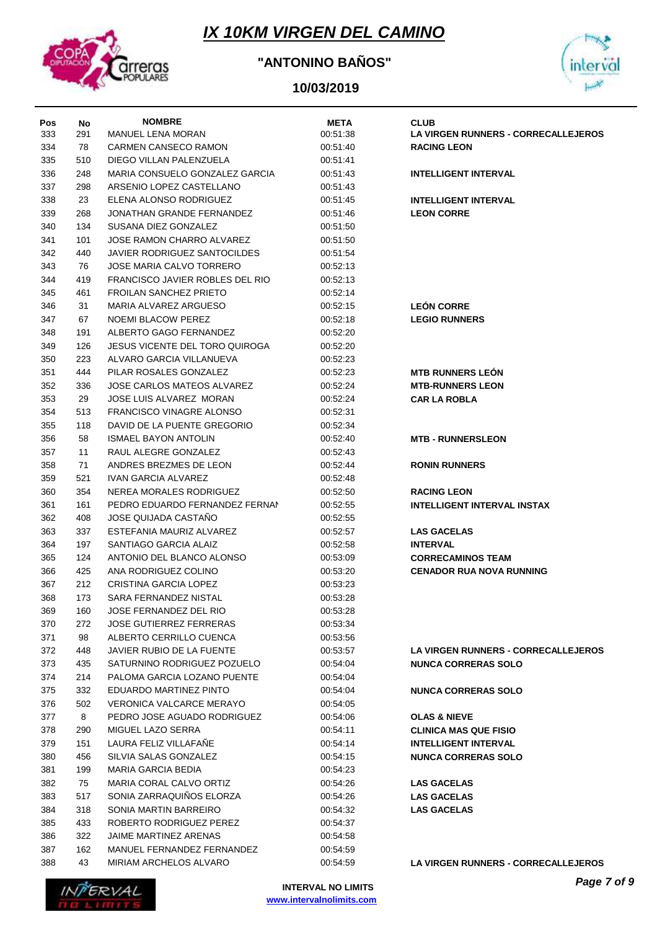

### **"ANTONINO BAÑOS"**



|            |           | <b>NOMBRE</b>                         | <b>META</b> | <b>CLUB</b>                                |
|------------|-----------|---------------------------------------|-------------|--------------------------------------------|
| Pos<br>333 | No<br>291 | <b>MANUEL LENA MORAN</b>              | 00:51:38    | LA VIRGEN RUNNERS - CORRECALLEJEROS        |
| 334        | 78        | CARMEN CANSECO RAMON                  | 00:51:40    | <b>RACING LEON</b>                         |
| 335        | 510       | DIEGO VILLAN PALENZUELA               | 00:51:41    |                                            |
| 336        | 248       | MARIA CONSUELO GONZALEZ GARCIA        | 00:51:43    | <b>INTELLIGENT INTERVAL</b>                |
| 337        | 298       | ARSENIO LOPEZ CASTELLANO              | 00:51:43    |                                            |
| 338        | 23        | ELENA ALONSO RODRIGUEZ                | 00:51:45    | <b>INTELLIGENT INTERVAL</b>                |
| 339        | 268       | JONATHAN GRANDE FERNANDEZ             | 00:51:46    | <b>LEON CORRE</b>                          |
| 340        | 134       | SUSANA DIEZ GONZALEZ                  | 00:51:50    |                                            |
| 341        | 101       | JOSE RAMON CHARRO ALVAREZ             | 00:51:50    |                                            |
| 342        | 440       | <b>JAVIER RODRIGUEZ SANTOCILDES</b>   | 00:51:54    |                                            |
| 343        | 76        | <b>JOSE MARIA CALVO TORRERO</b>       | 00:52:13    |                                            |
| 344        | 419       | FRANCISCO JAVIER ROBLES DEL RIO       | 00:52:13    |                                            |
| 345        | 461       | <b>FROILAN SANCHEZ PRIETO</b>         | 00:52:14    |                                            |
| 346        | 31        | MARIA ALVAREZ ARGUESO                 | 00:52:15    | <b>LEÓN CORRE</b>                          |
| 347        | 67        | NOEMI BLACOW PEREZ                    | 00:52:18    | <b>LEGIO RUNNERS</b>                       |
| 348        | 191       | ALBERTO GAGO FERNANDEZ                | 00:52:20    |                                            |
| 349        | 126       | <b>JESUS VICENTE DEL TORO QUIROGA</b> | 00:52:20    |                                            |
| 350        | 223       | ALVARO GARCIA VILLANUEVA              | 00:52:23    |                                            |
| 351        | 444       | PILAR ROSALES GONZALEZ                | 00:52:23    | <b>MTB RUNNERS LEON</b>                    |
| 352        | 336       | JOSE CARLOS MATEOS ALVAREZ            | 00:52:24    | <b>MTB-RUNNERS LEON</b>                    |
| 353        | 29        | JOSE LUIS ALVAREZ MORAN               | 00:52:24    | <b>CAR LA ROBLA</b>                        |
| 354        | 513       | <b>FRANCISCO VINAGRE ALONSO</b>       | 00:52:31    |                                            |
| 355        | 118       | DAVID DE LA PUENTE GREGORIO           | 00:52:34    |                                            |
| 356        | 58        | <b>ISMAEL BAYON ANTOLIN</b>           | 00:52:40    | <b>MTB - RUNNERSLEON</b>                   |
| 357        | 11        | RAUL ALEGRE GONZALEZ                  | 00:52:43    |                                            |
| 358        | 71        | ANDRES BREZMES DE LEON                | 00:52:44    | <b>RONIN RUNNERS</b>                       |
| 359        | 521       | IVAN GARCIA ALVAREZ                   | 00:52:48    |                                            |
| 360        | 354       | NEREA MORALES RODRIGUEZ               | 00:52:50    | <b>RACING LEON</b>                         |
| 361        | 161       | PEDRO EDUARDO FERNANDEZ FERNAN        | 00:52:55    | <b>INTELLIGENT INTERVAL INSTAX</b>         |
| 362        | 408       | JOSE QUIJADA CASTAÑO                  | 00:52:55    |                                            |
| 363        | 337       | ESTEFANIA MAURIZ ALVAREZ              | 00:52:57    | <b>LAS GACELAS</b>                         |
| 364        | 197       | SANTIAGO GARCIA ALAIZ                 | 00:52:58    | <b>INTERVAL</b>                            |
| 365        | 124       | ANTONIO DEL BLANCO ALONSO             | 00:53:09    | <b>CORRECAMINOS TEAM</b>                   |
| 366        | 425       | ANA RODRIGUEZ COLINO                  | 00:53:20    | <b>CENADOR RUA NOVA RUNNING</b>            |
| 367        | 212       | <b>CRISTINA GARCIA LOPEZ</b>          | 00:53:23    |                                            |
| 368        | 173       | SARA FERNANDEZ NISTAL                 | 00:53:28    |                                            |
| 369        | 160       | JOSE FERNANDEZ DEL RIO                | 00:53:28    |                                            |
| 370        | 272       | <b>JOSE GUTIERREZ FERRERAS</b>        | 00:53:34    |                                            |
| 371        | 98        | ALBERTO CERRILLO CUENCA               | 00:53:56    |                                            |
| 372        | 448       | JAVIER RUBIO DE LA FUENTE             | 00:53:57    | <b>LA VIRGEN RUNNERS - CORRECALLEJEROS</b> |
| 373        | 435       | SATURNINO RODRIGUEZ POZUELO           | 00:54:04    | <b>NUNCA CORRERAS SOLO</b>                 |
| 374        | 214       | PALOMA GARCIA LOZANO PUENTE           | 00:54:04    |                                            |
| 375        | 332       | EDUARDO MARTINEZ PINTO                | 00:54:04    | <b>NUNCA CORRERAS SOLO</b>                 |
| 376        | 502       | <b>VERONICA VALCARCE MERAYO</b>       | 00:54:05    |                                            |
| 377        | 8         | PEDRO JOSE AGUADO RODRIGUEZ           | 00:54:06    | <b>OLAS &amp; NIEVE</b>                    |
| 378        | 290       | MIGUEL LAZO SERRA                     | 00:54:11    | <b>CLINICA MAS QUE FISIO</b>               |
| 379        | 151       | LAURA FELIZ VILLAFAÑE                 | 00:54:14    | <b>INTELLIGENT INTERVAL</b>                |
| 380        | 456       | SILVIA SALAS GONZALEZ                 | 00:54:15    | <b>NUNCA CORRERAS SOLO</b>                 |
| 381        | 199       | <b>MARIA GARCIA BEDIA</b>             | 00:54:23    |                                            |
| 382        | 75        | MARIA CORAL CALVO ORTIZ               | 00:54:26    | <b>LAS GACELAS</b>                         |
| 383        | 517       | SONIA ZARRAQUIÑOS ELORZA              | 00:54:26    | <b>LAS GACELAS</b>                         |
| 384        | 318       | SONIA MARTIN BARREIRO                 | 00:54:32    | <b>LAS GACELAS</b>                         |
| 385        | 433       | ROBERTO RODRIGUEZ PEREZ               | 00:54:37    |                                            |
| 386        | 322       | JAIME MARTINEZ ARENAS                 | 00:54:58    |                                            |
| 387        | 162       | MANUEL FERNANDEZ FERNANDEZ            | 00:54:59    |                                            |
| 388        | 43        | MIRIAM ARCHELOS ALVARO                | 00:54:59    | LA VIRGEN RUNNERS - CORRECALLEJEROS        |

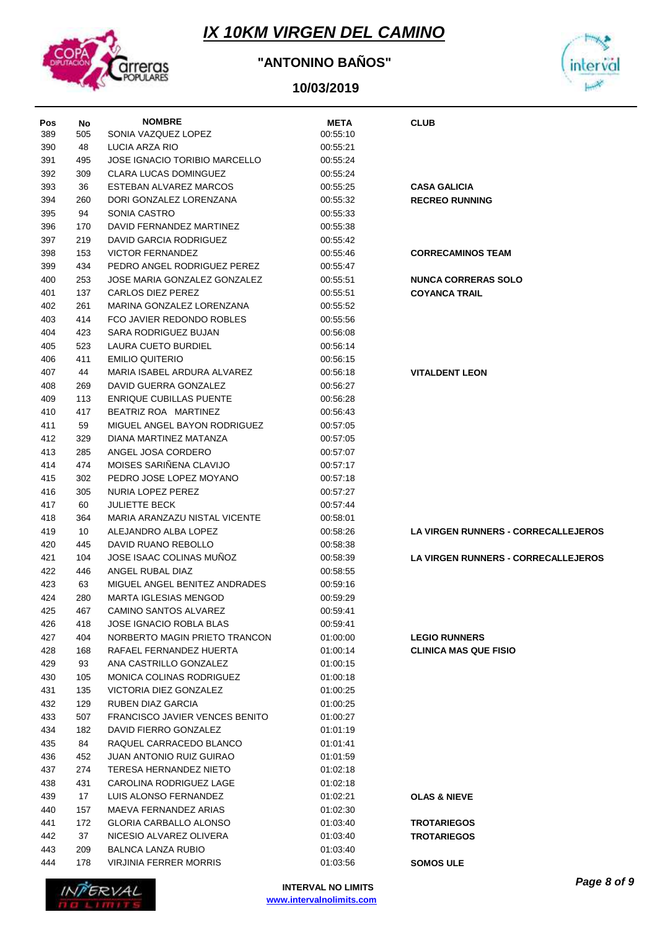

### **"ANTONINO BAÑOS"**



|            |           | <b>NOMBRE</b>                        |                         |                                            |
|------------|-----------|--------------------------------------|-------------------------|--------------------------------------------|
| Pos<br>389 | No<br>505 | SONIA VAZQUEZ LOPEZ                  | <b>META</b><br>00:55:10 | <b>CLUB</b>                                |
| 390        | 48        | LUCIA ARZA RIO                       | 00:55:21                |                                            |
| 391        | 495       | <b>JOSE IGNACIO TORIBIO MARCELLO</b> | 00:55:24                |                                            |
| 392        | 309       | <b>CLARA LUCAS DOMINGUEZ</b>         | 00:55:24                |                                            |
| 393        | 36        | ESTEBAN ALVAREZ MARCOS               | 00:55:25                | <b>CASA GALICIA</b>                        |
| 394        | 260       | DORI GONZALEZ LORENZANA              | 00:55:32                | <b>RECREO RUNNING</b>                      |
|            |           |                                      |                         |                                            |
| 395        | 94        | SONIA CASTRO                         | 00:55:33                |                                            |
| 396        | 170       | DAVID FERNANDEZ MARTINEZ             | 00:55:38                |                                            |
| 397        | 219       | DAVID GARCIA RODRIGUEZ               | 00:55:42                |                                            |
| 398        | 153       | <b>VICTOR FERNANDEZ</b>              | 00:55:46                | <b>CORRECAMINOS TEAM</b>                   |
| 399        | 434       | PEDRO ANGEL RODRIGUEZ PEREZ          | 00:55:47                |                                            |
| 400        | 253       | JOSE MARIA GONZALEZ GONZALEZ         | 00:55:51                | <b>NUNCA CORRERAS SOLO</b>                 |
| 401        | 137       | <b>CARLOS DIEZ PEREZ</b>             | 00:55:51                | <b>COYANCA TRAIL</b>                       |
| 402        | 261       | MARINA GONZALEZ LORENZANA            | 00:55:52                |                                            |
| 403        | 414       | FCO JAVIER REDONDO ROBLES            | 00:55:56                |                                            |
| 404        | 423       | SARA RODRIGUEZ BUJAN                 | 00:56:08                |                                            |
| 405        | 523       | LAURA CUETO BURDIEL                  | 00:56:14                |                                            |
| 406        | 411       | <b>EMILIO QUITERIO</b>               | 00:56:15                |                                            |
| 407        | 44        | MARIA ISABEL ARDURA ALVAREZ          | 00:56:18                | <b>VITALDENT LEON</b>                      |
| 408        | 269       | DAVID GUERRA GONZALEZ                | 00:56:27                |                                            |
| 409        | 113       | <b>ENRIQUE CUBILLAS PUENTE</b>       | 00:56:28                |                                            |
| 410        | 417       | BEATRIZ ROA MARTINEZ                 | 00:56:43                |                                            |
| 411        | 59        | MIGUEL ANGEL BAYON RODRIGUEZ         | 00:57:05                |                                            |
| 412        | 329       | DIANA MARTINEZ MATANZA               | 00:57:05                |                                            |
| 413        | 285       | ANGEL JOSA CORDERO                   | 00:57:07                |                                            |
| 414        | 474       | MOISES SARIÑENA CLAVIJO              | 00:57:17                |                                            |
| 415        | 302       | PEDRO JOSE LOPEZ MOYANO              | 00:57:18                |                                            |
| 416        | 305       | NURIA LOPEZ PEREZ                    | 00:57:27                |                                            |
| 417        | 60        | <b>JULIETTE BECK</b>                 | 00:57:44                |                                            |
| 418        | 364       | MARIA ARANZAZU NISTAL VICENTE        | 00:58:01                |                                            |
| 419        | 10        | ALEJANDRO ALBA LOPEZ                 | 00:58:26                | <b>LA VIRGEN RUNNERS - CORRECALLEJEROS</b> |
| 420        | 445       | DAVID RUANO REBOLLO                  | 00:58:38                |                                            |
| 421        | 104       | JOSE ISAAC COLINAS MUNOZ             | 00:58:39                | <b>LA VIRGEN RUNNERS - CORRECALLEJEROS</b> |
| 422        | 446       | ANGEL RUBAL DIAZ                     | 00:58:55                |                                            |
| 423        | 63        | MIGUEL ANGEL BENITEZ ANDRADES        | 00:59:16                |                                            |
| 424        | 280       | <b>MARTA IGLESIAS MENGOD</b>         | 00:59:29                |                                            |
| 425        | 467       | CAMINO SANTOS ALVAREZ                | 00:59:41                |                                            |
| 426        | 418       | <b>JOSE IGNACIO ROBLA BLAS</b>       | 00:59:41                |                                            |
| 427        | 404       | NORBERTO MAGIN PRIETO TRANCON        | 01:00:00                | <b>LEGIO RUNNERS</b>                       |
| 428        | 168       | RAFAEL FERNANDEZ HUERTA              | 01:00:14                | <b>CLINICA MAS QUE FISIO</b>               |
| 429        | 93        | ANA CASTRILLO GONZALEZ               | 01:00:15                |                                            |
| 430        | 105       | MONICA COLINAS RODRIGUEZ             | 01:00:18                |                                            |
| 431        | 135       | VICTORIA DIEZ GONZALEZ               | 01:00:25                |                                            |
| 432        | 129       | RUBEN DIAZ GARCIA                    | 01:00:25                |                                            |
| 433        | 507       | FRANCISCO JAVIER VENCES BENITO       | 01:00:27                |                                            |
| 434        | 182       | DAVID FIERRO GONZALEZ                | 01:01:19                |                                            |
| 435        | 84        | RAQUEL CARRACEDO BLANCO              | 01:01:41                |                                            |
| 436        | 452       | <b>JUAN ANTONIO RUIZ GUIRAO</b>      | 01:01:59                |                                            |
| 437        | 274       | TERESA HERNANDEZ NIETO               | 01:02:18                |                                            |
| 438        | 431       | CAROLINA RODRIGUEZ LAGE              | 01:02:18                |                                            |
| 439        | 17        | LUIS ALONSO FERNANDEZ                | 01:02:21                | <b>OLAS &amp; NIEVE</b>                    |
| 440        | 157       | MAEVA FERNANDEZ ARIAS                | 01:02:30                |                                            |
| 441        | 172       | GLORIA CARBALLO ALONSO               | 01:03:40                | <b>TROTARIEGOS</b>                         |
| 442        | 37        | NICESIO ALVAREZ OLIVERA              | 01:03:40                | <b>TROTARIEGOS</b>                         |
| 443        | 209       | <b>BALNCA LANZA RUBIO</b>            | 01:03:40                |                                            |
| 444        | 178       | VIRJINIA FERRER MORRIS               | 01:03:56                | <b>SOMOS ULE</b>                           |
|            |           |                                      |                         |                                            |